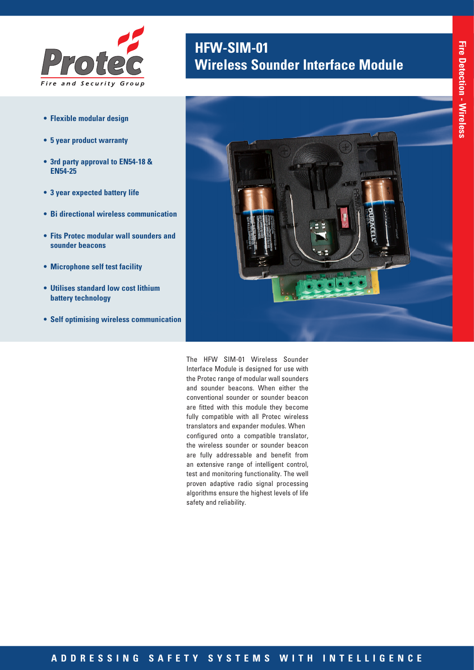

- **• Flexible modular design**
- **• 5 year product warranty**
- **• 3rd party approval to EN54-18 & EN54-25**
- **• 3 year expected battery life**
- **• Bi directional wireless communication**
- **• Fits Protec modular wall sounders and sounder beacons**
- **• Microphone self test facility**
- **• Utilises standard low cost lithium battery technology**
- **• Self optimising wireless communication**

## **HFW-SIM-01 Wireless Sounder Interface Module**



The HFW SIM-01 Wireless Sounder Interface Module is designed for use with the Protec range of modular wall sounders and sounder beacons. When either the conventional sounder or sounder beacon are fitted with this module they become fully compatible with all Protec wireless translators and expander modules. When configured onto a compatible translator, the wireless sounder or sounder beacon are fully addressable and benefit from an extensive range of intelligent control, test and monitoring functionality. The well proven adaptive radio signal processing algorithms ensure the highest levels of life safety and reliability.